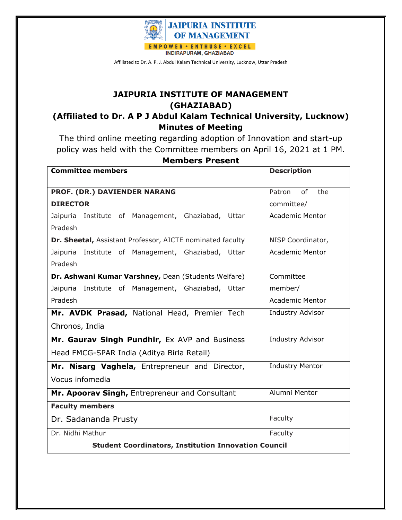

Affiliated to Dr. A. P. J. Abdul Kalam Technical University, Lucknow, Uttar Pradesh

## **JAIPURIA INSTITUTE OF MANAGEMENT (GHAZIABAD)**

## **(Affiliated to Dr. A P J Abdul Kalam Technical University, Lucknow) Minutes of Meeting**

The third online meeting regarding adoption of Innovation and start-up policy was held with the Committee members on April 16, 2021 at 1 PM.

| <b>Committee members</b>                                    | <b>Description</b>     |  |
|-------------------------------------------------------------|------------------------|--|
| PROF. (DR.) DAVIENDER NARANG                                | of<br>the<br>Patron    |  |
| <b>DIRECTOR</b>                                             | committee/             |  |
| Institute of Management, Ghaziabad, Uttar<br>Jaipuria       | <b>Academic Mentor</b> |  |
| Pradesh                                                     |                        |  |
| Dr. Sheetal, Assistant Professor, AICTE nominated faculty   | NISP Coordinator,      |  |
| Jaipuria<br>Institute of Management, Ghaziabad, Uttar       | <b>Academic Mentor</b> |  |
| Pradesh                                                     |                        |  |
| Dr. Ashwani Kumar Varshney, Dean (Students Welfare)         | Committee              |  |
| Institute of Management, Ghaziabad, Uttar<br>Jaipuria       | member/                |  |
| Pradesh                                                     | <b>Academic Mentor</b> |  |
| Mr. AVDK Prasad, National Head, Premier Tech                | Industry Advisor       |  |
| Chronos, India                                              |                        |  |
| Mr. Gaurav Singh Pundhir, Ex AVP and Business               | Industry Advisor       |  |
| Head FMCG-SPAR India (Aditya Birla Retail)                  |                        |  |
| Mr. Nisarg Vaghela, Entrepreneur and Director,              | <b>Industry Mentor</b> |  |
| Vocus infomedia                                             |                        |  |
| Mr. Apoorav Singh, Entrepreneur and Consultant              | Alumni Mentor          |  |
| <b>Faculty members</b>                                      |                        |  |
| Dr. Sadananda Prusty                                        | Faculty                |  |
| Dr. Nidhi Mathur                                            | Faculty                |  |
| <b>Student Coordinators, Institution Innovation Council</b> |                        |  |

## **Members Present**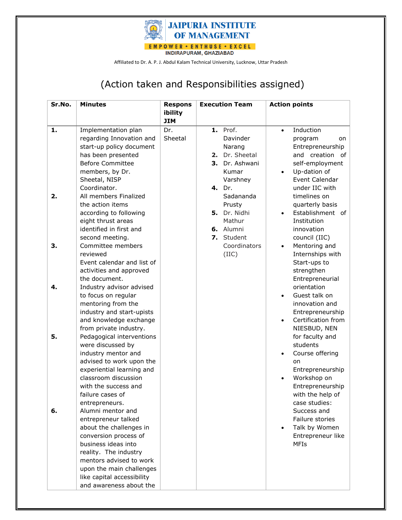

Affiliated to Dr. A. P. J. Abdul Kalam Technical University, Lucknow, Uttar Pradesh

## (Action taken and Responsibilities assigned)

| Sr.No. | <b>Minutes</b>             | <b>Respons</b> |    | <b>Execution Team</b> |           | <b>Action points</b> |
|--------|----------------------------|----------------|----|-----------------------|-----------|----------------------|
|        |                            | ibility        |    |                       |           |                      |
|        |                            | <b>JIM</b>     |    |                       |           |                      |
| 1.     | Implementation plan        | Dr.            |    | <b>1.</b> Prof.       | $\bullet$ | Induction            |
|        | regarding Innovation and   | Sheetal        |    | Davinder              |           | program<br>on        |
|        | start-up policy document   |                |    | Narang                |           | Entrepreneurship     |
|        | has been presented         |                | 2. | Dr. Sheetal           |           | and creation of      |
|        | <b>Before Committee</b>    |                | 3. | Dr. Ashwani           |           | self-employment      |
|        | members, by Dr.            |                |    | Kumar                 | $\bullet$ | Up-dation of         |
|        | Sheetal, NISP              |                |    | Varshney              |           | Event Calendar       |
|        | Coordinator.               |                |    | 4. Dr.                |           | under IIC with       |
| 2.     | All members Finalized      |                |    | Sadananda             |           | timelines on         |
|        | the action items           |                |    | Prusty                |           | quarterly basis      |
|        | according to following     |                |    | 5. Dr. Nidhi          |           | Establishment of     |
|        | eight thrust areas         |                |    | Mathur                |           | Institution          |
|        | identified in first and    |                |    | 6. Alumni             |           | innovation           |
|        | second meeting.            |                |    | 7. Student            |           | council (IIC)        |
| 3.     | Committee members          |                |    | Coordinators          | $\bullet$ | Mentoring and        |
|        | reviewed                   |                |    | (IIC)                 |           | Internships with     |
|        | Event calendar and list of |                |    |                       |           | Start-ups to         |
|        | activities and approved    |                |    |                       |           | strengthen           |
|        | the document.              |                |    |                       |           | Entrepreneurial      |
| 4.     | Industry advisor advised   |                |    |                       |           | orientation          |
|        | to focus on regular        |                |    |                       |           | Guest talk on        |
|        | mentoring from the         |                |    |                       |           | innovation and       |
|        | industry and start-upists  |                |    |                       |           | Entrepreneurship     |
|        | and knowledge exchange     |                |    |                       | $\bullet$ | Certification from   |
|        | from private industry.     |                |    |                       |           | NIESBUD, NEN         |
| 5.     | Pedagogical interventions  |                |    |                       |           | for faculty and      |
|        | were discussed by          |                |    |                       |           | students             |
|        | industry mentor and        |                |    |                       |           | Course offering      |
|        | advised to work upon the   |                |    |                       |           | on                   |
|        | experiential learning and  |                |    |                       |           | Entrepreneurship     |
|        | classroom discussion       |                |    |                       |           | Workshop on          |
|        | with the success and       |                |    |                       |           | Entrepreneurship     |
|        | failure cases of           |                |    |                       |           | with the help of     |
|        | entrepreneurs.             |                |    |                       |           | case studies:        |
| 6.     | Alumni mentor and          |                |    |                       |           | Success and          |
|        | entrepreneur talked        |                |    |                       |           | Failure stories      |
|        | about the challenges in    |                |    |                       |           | Talk by Women        |
|        | conversion process of      |                |    |                       |           | Entrepreneur like    |
|        | business ideas into        |                |    |                       |           | <b>MFIs</b>          |
|        | reality. The industry      |                |    |                       |           |                      |
|        | mentors advised to work    |                |    |                       |           |                      |
|        | upon the main challenges   |                |    |                       |           |                      |
|        | like capital accessibility |                |    |                       |           |                      |
|        | and awareness about the    |                |    |                       |           |                      |